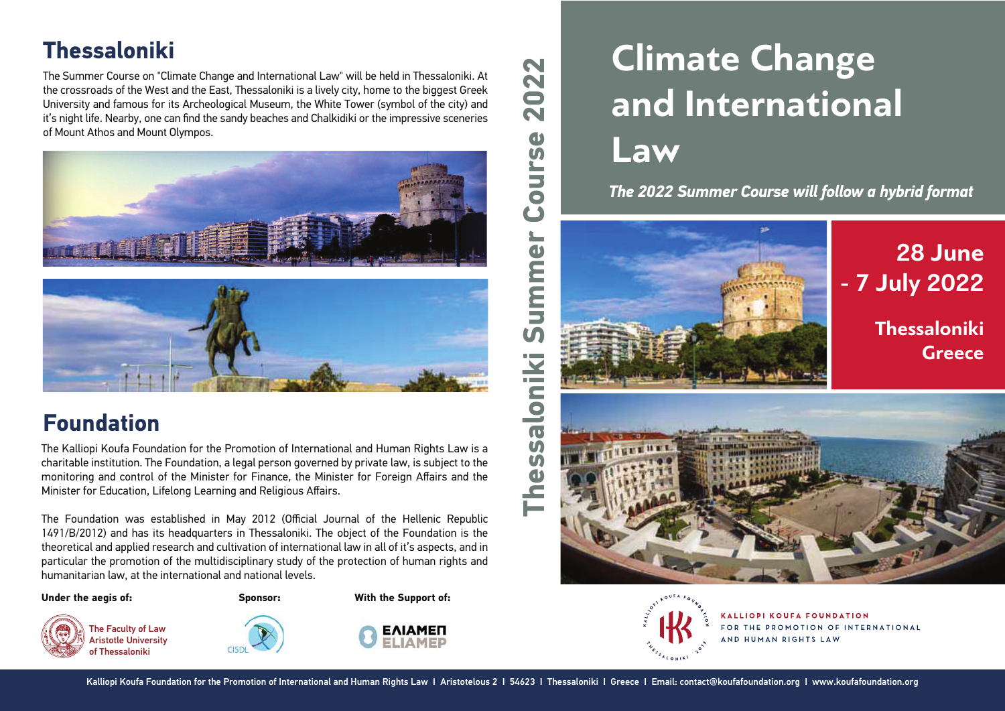# **Thessaloniki**

The Summer Course on "Climate Change and International Law" will be held in Thessaloniki. At the crossroads of the West and the East, Thessaloniki is a lively city, home to the biggest Greek University and famous for its Archeological Museum, the White Tower (symbol of the city) and it's night life. Nearby, one can find the sandy beaches and Chalkidiki or the impressive sceneries of Mount Athos and Mount Olympos.





## **Foundation**

The Kalliopi Koufa Foundation for the Promotion of International and Human Rights Law is a charitable institution. The Foundation, a legal person governed by private law, is subject to the monitoring and control of the Minister for Finance, the Minister for Foreign Affairs and the Minister for Education, Lifelong Learning and Religious Affairs.

The Foundation was established in May 2012 (Official Journal of the Hellenic Republic 1491/B/2012) and has its headquarters in Thessaloniki. The object of the Foundation is the theoretical and applied research and cultivation of international law in all of it's aspects, and in particular the promotion of the multidisciplinary study of the protection of human rights and humanitarian law, at the international and national levels.

#### **Under the aegis of:**

The Faculty of Law Aristotle University of Thessaloniki

**Sponsor: With the Support of:**



# **Climate Change and International Law**

*The 2022 Summer Course will follow a hybrid format*





KALLIOPI KOUFA FOUNDATION FOR THE PROMOTION OF INTERNATIONAL AND HUMAN RIGHTS LAW

 $\sim$  $\overline{\mathbf{N}}$  $\blacksquare$  $\sim$ 

> $\mathbf{d}$  $\overline{u}$ E E